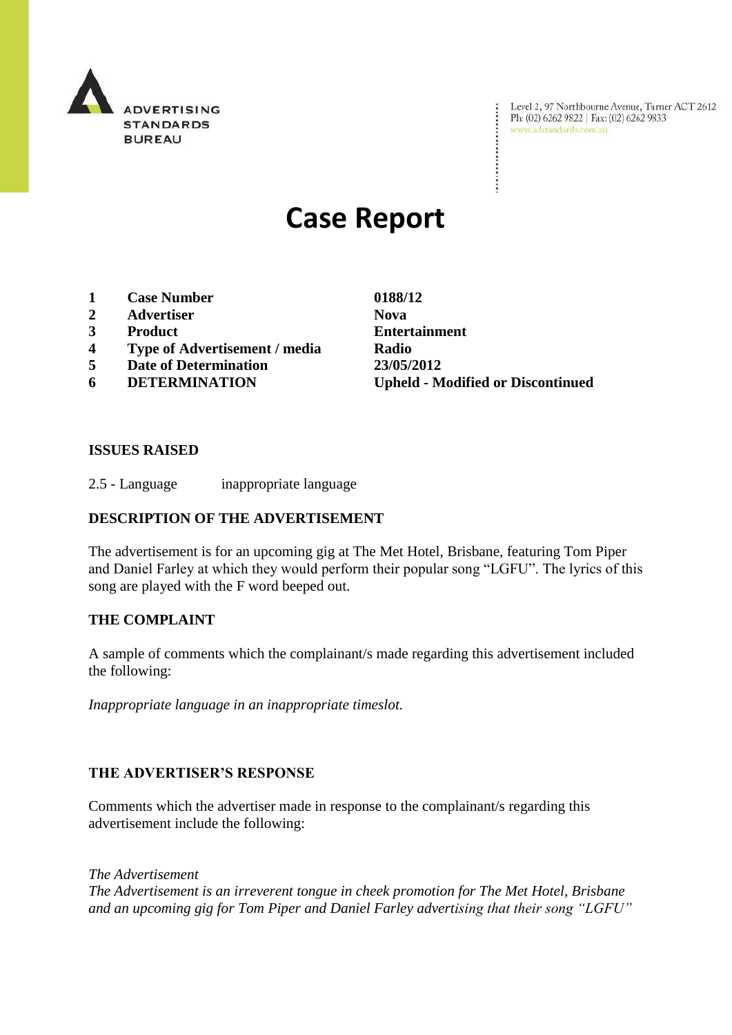

Level 2, 97 Northbourne Avenue, Turner ACT 2612<br>Ph: (02) 6262 9822 | Fax: (02) 6262 9833<br>www.adstandards.com.au

# **Case Report**

- **1 Case Number 0188/12**
- **2 Advertiser Nova**
- 
- **4 Type of Advertisement / media Radio**
- **5 Date of Determination 23/05/2012**
- 

**3 Product Entertainment 6 DETERMINATION Upheld - Modified or Discontinued**

÷

## **ISSUES RAISED**

2.5 - Language inappropriate language

## **DESCRIPTION OF THE ADVERTISEMENT**

The advertisement is for an upcoming gig at The Met Hotel, Brisbane, featuring Tom Piper and Daniel Farley at which they would perform their popular song "LGFU". The lyrics of this song are played with the F word beeped out.

#### **THE COMPLAINT**

A sample of comments which the complainant/s made regarding this advertisement included the following:

*Inappropriate language in an inappropriate timeslot.*

#### **THE ADVERTISER'S RESPONSE**

Comments which the advertiser made in response to the complainant/s regarding this advertisement include the following:

*The Advertisement The Advertisement is an irreverent tongue in cheek promotion for The Met Hotel, Brisbane and an upcoming gig for Tom Piper and Daniel Farley advertising that their song "LGFU"*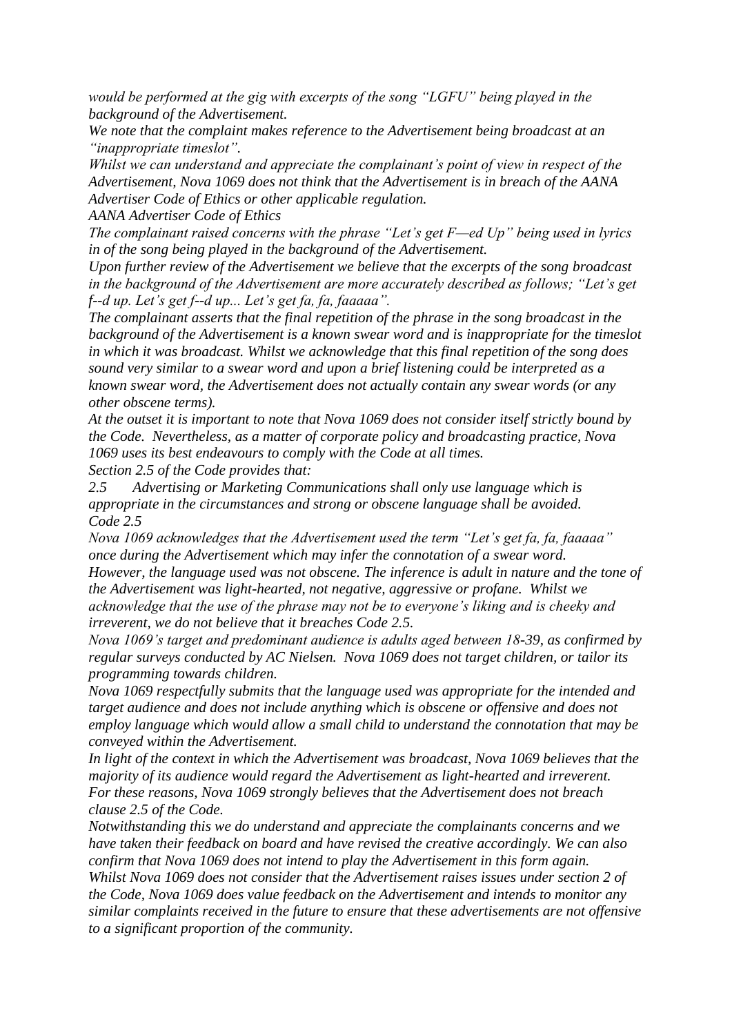*would be performed at the gig with excerpts of the song "LGFU" being played in the background of the Advertisement.* 

*We note that the complaint makes reference to the Advertisement being broadcast at an "inappropriate timeslot".* 

*Whilst we can understand and appreciate the complainant's point of view in respect of the Advertisement, Nova 1069 does not think that the Advertisement is in breach of the AANA Advertiser Code of Ethics or other applicable regulation.*

*AANA Advertiser Code of Ethics*

*The complainant raised concerns with the phrase "Let's get F—ed Up" being used in lyrics in of the song being played in the background of the Advertisement.* 

*Upon further review of the Advertisement we believe that the excerpts of the song broadcast in the background of the Advertisement are more accurately described as follows; "Let's get f--d up. Let's get f--d up... Let's get fa, fa, faaaaa".*

*The complainant asserts that the final repetition of the phrase in the song broadcast in the background of the Advertisement is a known swear word and is inappropriate for the timeslot in which it was broadcast. Whilst we acknowledge that this final repetition of the song does sound very similar to a swear word and upon a brief listening could be interpreted as a known swear word, the Advertisement does not actually contain any swear words (or any other obscene terms).*

*At the outset it is important to note that Nova 1069 does not consider itself strictly bound by the Code. Nevertheless, as a matter of corporate policy and broadcasting practice, Nova 1069 uses its best endeavours to comply with the Code at all times. Section 2.5 of the Code provides that:*

*2.5 Advertising or Marketing Communications shall only use language which is appropriate in the circumstances and strong or obscene language shall be avoided.*

*Code 2.5 Nova 1069 acknowledges that the Advertisement used the term "Let's get fa, fa, faaaaa" once during the Advertisement which may infer the connotation of a swear word. However, the language used was not obscene. The inference is adult in nature and the tone of the Advertisement was light-hearted, not negative, aggressive or profane. Whilst we acknowledge that the use of the phrase may not be to everyone's liking and is cheeky and irreverent, we do not believe that it breaches Code 2.5.*

*Nova 1069's target and predominant audience is adults aged between 18-39, as confirmed by regular surveys conducted by AC Nielsen. Nova 1069 does not target children, or tailor its programming towards children.*

*Nova 1069 respectfully submits that the language used was appropriate for the intended and target audience and does not include anything which is obscene or offensive and does not employ language which would allow a small child to understand the connotation that may be conveyed within the Advertisement.*

*In light of the context in which the Advertisement was broadcast, Nova 1069 believes that the majority of its audience would regard the Advertisement as light-hearted and irreverent. For these reasons, Nova 1069 strongly believes that the Advertisement does not breach clause 2.5 of the Code.* 

*Notwithstanding this we do understand and appreciate the complainants concerns and we have taken their feedback on board and have revised the creative accordingly. We can also confirm that Nova 1069 does not intend to play the Advertisement in this form again. Whilst Nova 1069 does not consider that the Advertisement raises issues under section 2 of the Code, Nova 1069 does value feedback on the Advertisement and intends to monitor any similar complaints received in the future to ensure that these advertisements are not offensive to a significant proportion of the community.*